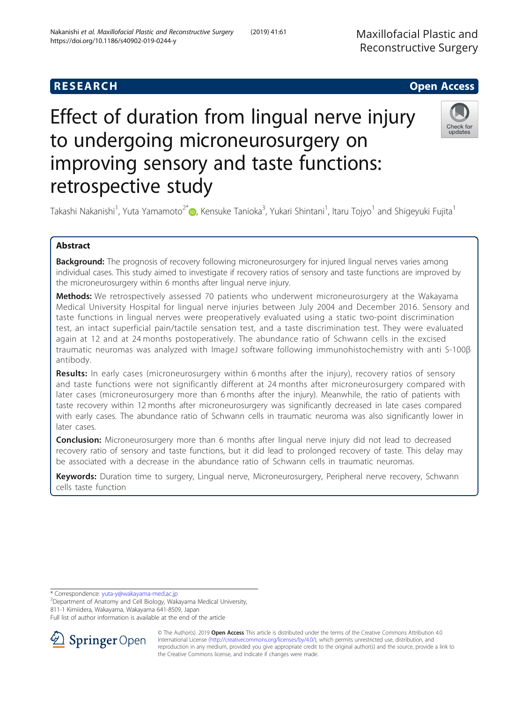## **RESEARCH CHILD CONTROL** CONTROL CONTROL CONTROL CONTROL CONTROL CONTROL CONTROL CONTROL CONTROL CONTROL CONTROL

# Effect of duration from lingual nerve injury to undergoing microneurosurgery on improving sensory and taste functions: retrospective study



Takashi Nakanishi<sup>1</sup>, Yuta Yamamoto<sup>2[\\*](http://orcid.org/0000-0001-5225-6989)</sup>@, Kensuke Tanioka<sup>3</sup>, Yukari Shintani<sup>1</sup>, Itaru Tojyo<sup>1</sup> and Shigeyuki Fujita<sup>1</sup>

### Abstract

**Background:** The prognosis of recovery following microneurosurgery for injured lingual nerves varies among individual cases. This study aimed to investigate if recovery ratios of sensory and taste functions are improved by the microneurosurgery within 6 months after lingual nerve injury.

Methods: We retrospectively assessed 70 patients who underwent microneurosurgery at the Wakayama Medical University Hospital for lingual nerve injuries between July 2004 and December 2016. Sensory and taste functions in lingual nerves were preoperatively evaluated using a static two-point discrimination test, an intact superficial pain/tactile sensation test, and a taste discrimination test. They were evaluated again at 12 and at 24 months postoperatively. The abundance ratio of Schwann cells in the excised traumatic neuromas was analyzed with ImageJ software following immunohistochemistry with anti S-100β antibody.

**Results:** In early cases (microneurosurgery within 6 months after the injury), recovery ratios of sensory and taste functions were not significantly different at 24 months after microneurosurgery compared with later cases (microneurosurgery more than 6 months after the injury). Meanwhile, the ratio of patients with taste recovery within 12 months after microneurosurgery was significantly decreased in late cases compared with early cases. The abundance ratio of Schwann cells in traumatic neuroma was also significantly lower in later cases.

Conclusion: Microneurosurgery more than 6 months after lingual nerve injury did not lead to decreased recovery ratio of sensory and taste functions, but it did lead to prolonged recovery of taste. This delay may be associated with a decrease in the abundance ratio of Schwann cells in traumatic neuromas.

Keywords: Duration time to surgery, Lingual nerve, Microneurosurgery, Peripheral nerve recovery, Schwann cells taste function

\* Correspondence: [yuta-y@wakayama-med.ac.jp](mailto:yuta-y@wakayama-med.ac.jp) <sup>2</sup>

Department of Anatomy and Cell Biology, Wakayama Medical University,

811-1 Kimiidera, Wakayama, Wakayama 641-8509, Japan

Full list of author information is available at the end of the article



© The Author(s). 2019 Open Access This article is distributed under the terms of the Creative Commons Attribution 4.0 International License ([http://creativecommons.org/licenses/by/4.0/\)](http://creativecommons.org/licenses/by/4.0/), which permits unrestricted use, distribution, and reproduction in any medium, provided you give appropriate credit to the original author(s) and the source, provide a link to the Creative Commons license, and indicate if changes were made.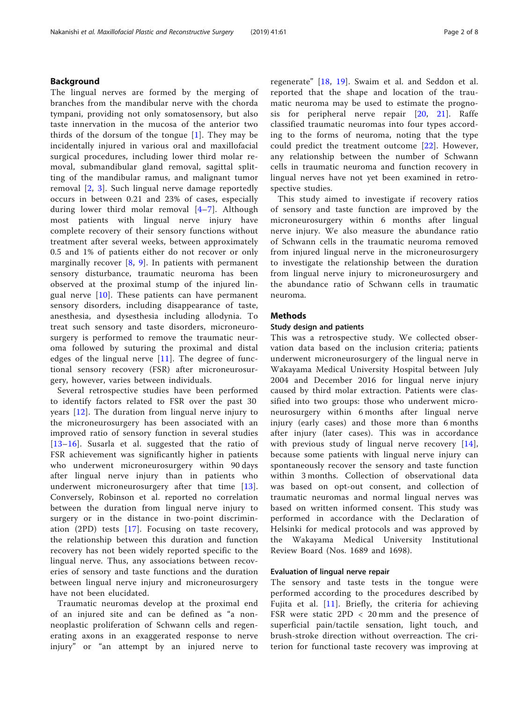#### Background

The lingual nerves are formed by the merging of branches from the mandibular nerve with the chorda tympani, providing not only somatosensory, but also taste innervation in the mucosa of the anterior two thirds of the dorsum of the tongue  $[1]$  $[1]$ . They may be incidentally injured in various oral and maxillofacial surgical procedures, including lower third molar removal, submandibular gland removal, sagittal splitting of the mandibular ramus, and malignant tumor removal [\[2](#page-6-0), [3](#page-6-0)]. Such lingual nerve damage reportedly occurs in between 0.21 and 23% of cases, especially during lower third molar removal [[4](#page-6-0)–[7\]](#page-6-0). Although most patients with lingual nerve injury have complete recovery of their sensory functions without treatment after several weeks, between approximately 0.5 and 1% of patients either do not recover or only marginally recover  $[8, 9]$  $[8, 9]$  $[8, 9]$  $[8, 9]$  $[8, 9]$ . In patients with permanent sensory disturbance, traumatic neuroma has been observed at the proximal stump of the injured lingual nerve  $[10]$  $[10]$  $[10]$ . These patients can have permanent sensory disorders, including disappearance of taste, anesthesia, and dysesthesia including allodynia. To treat such sensory and taste disorders, microneurosurgery is performed to remove the traumatic neuroma followed by suturing the proximal and distal edges of the lingual nerve  $[11]$  $[11]$ . The degree of functional sensory recovery (FSR) after microneurosurgery, however, varies between individuals.

Several retrospective studies have been performed to identify factors related to FSR over the past 30 years [[12](#page-6-0)]. The duration from lingual nerve injury to the microneurosurgery has been associated with an improved ratio of sensory function in several studies [[13](#page-6-0)–[16\]](#page-6-0). Susarla et al. suggested that the ratio of FSR achievement was significantly higher in patients who underwent microneurosurgery within 90 days after lingual nerve injury than in patients who underwent microneurosurgery after that time [[13](#page-6-0)]. Conversely, Robinson et al. reported no correlation between the duration from lingual nerve injury to surgery or in the distance in two-point discrimination (2PD) tests [[17\]](#page-6-0). Focusing on taste recovery, the relationship between this duration and function recovery has not been widely reported specific to the lingual nerve. Thus, any associations between recoveries of sensory and taste functions and the duration between lingual nerve injury and microneurosurgery have not been elucidated.

Traumatic neuromas develop at the proximal end of an injured site and can be defined as "a nonneoplastic proliferation of Schwann cells and regenerating axons in an exaggerated response to nerve injury" or "an attempt by an injured nerve to regenerate" [\[18](#page-6-0), [19\]](#page-6-0). Swaim et al. and Seddon et al. reported that the shape and location of the traumatic neuroma may be used to estimate the prognosis for peripheral nerve repair [[20](#page-7-0), [21](#page-7-0)]. Raffe classified traumatic neuromas into four types according to the forms of neuroma, noting that the type could predict the treatment outcome [[22](#page-7-0)]. However, any relationship between the number of Schwann cells in traumatic neuroma and function recovery in lingual nerves have not yet been examined in retrospective studies.

This study aimed to investigate if recovery ratios of sensory and taste function are improved by the microneurosurgery within 6 months after lingual nerve injury. We also measure the abundance ratio of Schwann cells in the traumatic neuroma removed from injured lingual nerve in the microneurosurgery to investigate the relationship between the duration from lingual nerve injury to microneurosurgery and the abundance ratio of Schwann cells in traumatic neuroma.

#### Methods

#### Study design and patients

This was a retrospective study. We collected observation data based on the inclusion criteria; patients underwent microneurosurgery of the lingual nerve in Wakayama Medical University Hospital between July 2004 and December 2016 for lingual nerve injury caused by third molar extraction. Patients were classified into two groups: those who underwent microneurosurgery within 6 months after lingual nerve injury (early cases) and those more than 6 months after injury (later cases). This was in accordance with previous study of lingual nerve recovery [[14](#page-6-0)], because some patients with lingual nerve injury can spontaneously recover the sensory and taste function within 3 months. Collection of observational data was based on opt-out consent, and collection of traumatic neuromas and normal lingual nerves was based on written informed consent. This study was performed in accordance with the Declaration of Helsinki for medical protocols and was approved by the Wakayama Medical University Institutional Review Board (Nos. 1689 and 1698).

#### Evaluation of lingual nerve repair

The sensory and taste tests in the tongue were performed according to the procedures described by Fujita et al. [\[11\]](#page-6-0). Briefly, the criteria for achieving FSR were static 2PD < 20 mm and the presence of superficial pain/tactile sensation, light touch, and brush-stroke direction without overreaction. The criterion for functional taste recovery was improving at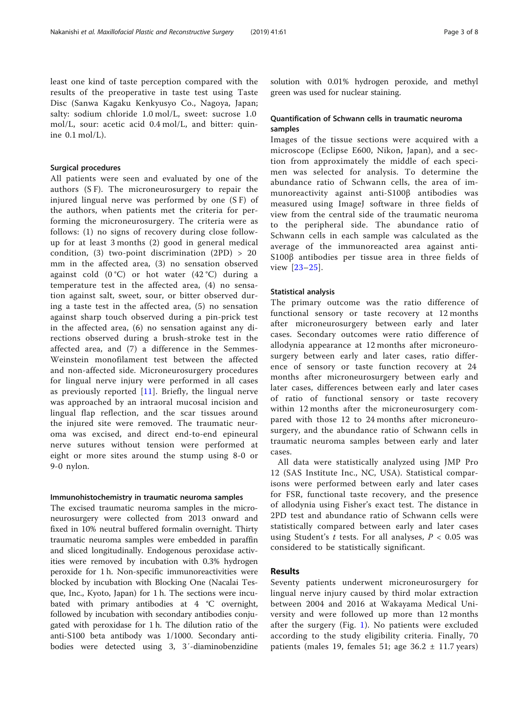#### Surgical procedures

All patients were seen and evaluated by one of the authors (S F). The microneurosurgery to repair the injured lingual nerve was performed by one (S F) of the authors, when patients met the criteria for performing the microneurosurgery. The criteria were as follows: (1) no signs of recovery during close followup for at least 3 months (2) good in general medical condition, (3) two-point discrimination  $(2PD) > 20$ mm in the affected area, (3) no sensation observed against cold  $(0^{\circ}C)$  or hot water  $(42^{\circ}C)$  during a temperature test in the affected area, (4) no sensation against salt, sweet, sour, or bitter observed during a taste test in the affected area, (5) no sensation against sharp touch observed during a pin-prick test in the affected area, (6) no sensation against any directions observed during a brush-stroke test in the affected area, and (7) a difference in the Semmes-Weinstein monofilament test between the affected and non-affected side. Microneurosurgery procedures for lingual nerve injury were performed in all cases as previously reported [[11\]](#page-6-0). Briefly, the lingual nerve was approached by an intraoral mucosal incision and lingual flap reflection, and the scar tissues around the injured site were removed. The traumatic neuroma was excised, and direct end-to-end epineural nerve sutures without tension were performed at eight or more sites around the stump using 8-0 or 9-0 nylon.

#### Immunohistochemistry in traumatic neuroma samples

The excised traumatic neuroma samples in the microneurosurgery were collected from 2013 onward and fixed in 10% neutral buffered formalin overnight. Thirty traumatic neuroma samples were embedded in paraffin and sliced longitudinally. Endogenous peroxidase activities were removed by incubation with 0.3% hydrogen peroxide for 1 h. Non-specific immunoreactivities were blocked by incubation with Blocking One (Nacalai Tesque, Inc., Kyoto, Japan) for 1 h. The sections were incubated with primary antibodies at 4 °C overnight, followed by incubation with secondary antibodies conjugated with peroxidase for 1 h. The dilution ratio of the anti-S100 beta antibody was 1/1000. Secondary antibodies were detected using 3, 3′-diaminobenzidine solution with 0.01% hydrogen peroxide, and methyl green was used for nuclear staining.

#### Quantification of Schwann cells in traumatic neuroma samples

Images of the tissue sections were acquired with a microscope (Eclipse E600, Nikon, Japan), and a section from approximately the middle of each specimen was selected for analysis. To determine the abundance ratio of Schwann cells, the area of immunoreactivity against anti-S100β antibodies was measured using ImageJ software in three fields of view from the central side of the traumatic neuroma to the peripheral side. The abundance ratio of Schwann cells in each sample was calculated as the average of the immunoreacted area against anti-S100β antibodies per tissue area in three fields of view [\[23](#page-7-0)–[25](#page-7-0)].

#### Statistical analysis

The primary outcome was the ratio difference of functional sensory or taste recovery at 12 months after microneurosurgery between early and later cases. Secondary outcomes were ratio difference of allodynia appearance at 12 months after microneurosurgery between early and later cases, ratio difference of sensory or taste function recovery at 24 months after microneurosurgery between early and later cases, differences between early and later cases of ratio of functional sensory or taste recovery within 12 months after the microneurosurgery compared with those 12 to 24 months after microneurosurgery, and the abundance ratio of Schwann cells in traumatic neuroma samples between early and later cases.

All data were statistically analyzed using JMP Pro 12 (SAS Institute Inc., NC, USA). Statistical comparisons were performed between early and later cases for FSR, functional taste recovery, and the presence of allodynia using Fisher's exact test. The distance in 2PD test and abundance ratio of Schwann cells were statistically compared between early and later cases using Student's t tests. For all analyses,  $P < 0.05$  was considered to be statistically significant.

#### Results

Seventy patients underwent microneurosurgery for lingual nerve injury caused by third molar extraction between 2004 and 2016 at Wakayama Medical University and were followed up more than 12 months after the surgery (Fig. [1\)](#page-3-0). No patients were excluded according to the study eligibility criteria. Finally, 70 patients (males 19, females 51; age  $36.2 \pm 11.7$  years)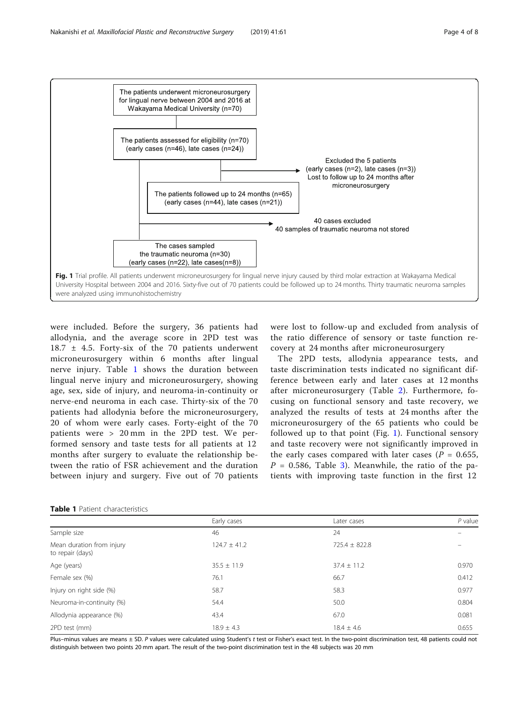<span id="page-3-0"></span>

were included. Before the surgery, 36 patients had allodynia, and the average score in 2PD test was  $18.7 \pm 4.5$ . Forty-six of the 70 patients underwent microneurosurgery within 6 months after lingual nerve injury. Table 1 shows the duration between lingual nerve injury and microneurosurgery, showing age, sex, side of injury, and neuroma-in-continuity or nerve-end neuroma in each case. Thirty-six of the 70 patients had allodynia before the microneurosurgery, 20 of whom were early cases. Forty-eight of the 70 patients were > 20 mm in the 2PD test. We performed sensory and taste tests for all patients at 12 months after surgery to evaluate the relationship between the ratio of FSR achievement and the duration between injury and surgery. Five out of 70 patients

were lost to follow-up and excluded from analysis of the ratio difference of sensory or taste function recovery at 24 months after microneurosurgery

The 2PD tests, allodynia appearance tests, and taste discrimination tests indicated no significant difference between early and later cases at 12 months after microneurosurgery (Table [2\)](#page-4-0). Furthermore, focusing on functional sensory and taste recovery, we analyzed the results of tests at 24 months after the microneurosurgery of the 65 patients who could be followed up to that point (Fig. 1). Functional sensory and taste recovery were not significantly improved in the early cases compared with later cases ( $P = 0.655$ ,  $P = 0.586$ , Table [3](#page-4-0)). Meanwhile, the ratio of the patients with improving taste function in the first 12

|  | <b>Table 1</b> Patient characteristics |
|--|----------------------------------------|
|  |                                        |

|                                               | Early cases      | Later cases       | $P$ value |
|-----------------------------------------------|------------------|-------------------|-----------|
| Sample size                                   | 46               | 24                |           |
| Mean duration from injury<br>to repair (days) | $124.7 \pm 41.2$ | $725.4 \pm 822.8$ |           |
| Age (years)                                   | $35.5 \pm 11.9$  | $37.4 \pm 11.2$   | 0.970     |
| Female sex (%)                                | 76.1             | 66.7              | 0.412     |
| Injury on right side (%)                      | 58.7             | 58.3              | 0.977     |
| Neuroma-in-continuity (%)                     | 54.4             | 50.0              | 0.804     |
| Allodynia appearance (%)                      | 43.4             | 67.0              | 0.081     |
| 2PD test (mm)                                 | $18.9 \pm 4.3$   | $18.4 \pm 4.6$    | 0.655     |

Plus–minus values are means ± SD. P values were calculated using Student's t test or Fisher's exact test. In the two-point discrimination test, 48 patients could not distinguish between two points 20 mm apart. The result of the two-point discrimination test in the 48 subjects was 20 mm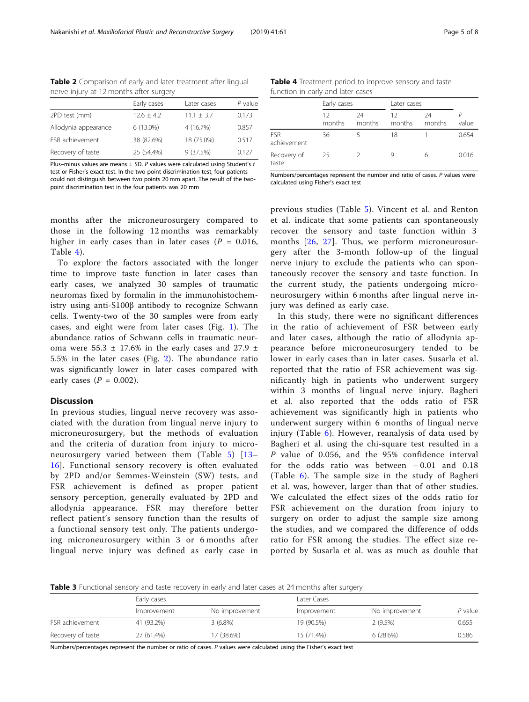| nerve injury at 12 months after surgery |                |                |           |  |  |  |  |
|-----------------------------------------|----------------|----------------|-----------|--|--|--|--|
|                                         | Early cases    | Later cases    | $P$ value |  |  |  |  |
| 2PD test (mm)                           | $12.6 \pm 4.2$ | $11.1 \pm 3.7$ | 0.173     |  |  |  |  |
| Allodynia appearance                    | 6 (13.0%)      | 4 (16.7%)      | 0.857     |  |  |  |  |
| FSR achievement                         | 38 (82.6%)     | 18 (75.0%)     | 0.517     |  |  |  |  |
| Recovery of taste                       | 25 (54.4%)     | 9 (37.5%)      | 0.127     |  |  |  |  |

<span id="page-4-0"></span>Table 2 Comparison of early and later treatment after lingual

Plus–minus values are means  $\pm$  SD. P values were calculated using Student's t

test or Fisher's exact test. In the two-point discrimination test, four patients could not distinguish between two points 20 mm apart. The result of the twopoint discrimination test in the four patients was 20 mm

months after the microneurosurgery compared to those in the following 12 months was remarkably higher in early cases than in later cases ( $P = 0.016$ , Table 4).

To explore the factors associated with the longer time to improve taste function in later cases than early cases, we analyzed 30 samples of traumatic neuromas fixed by formalin in the immunohistochemistry using anti-S100β antibody to recognize Schwann cells. Twenty-two of the 30 samples were from early cases, and eight were from later cases (Fig. [1](#page-3-0)). The abundance ratios of Schwann cells in traumatic neuroma were 55.3  $\pm$  17.6% in the early cases and 27.9  $\pm$ 5.5% in the later cases (Fig. [2\)](#page-5-0). The abundance ratio was significantly lower in later cases compared with early cases  $(P = 0.002)$ .

#### Discussion

In previous studies, lingual nerve recovery was associated with the duration from lingual nerve injury to microneurosurgery, but the methods of evaluation and the criteria of duration from injury to microneurosurgery varied between them (Table [5](#page-5-0)) [\[13](#page-6-0)– [16\]](#page-6-0). Functional sensory recovery is often evaluated by 2PD and/or Semmes-Weinstein (SW) tests, and FSR achievement is defined as proper patient sensory perception, generally evaluated by 2PD and allodynia appearance. FSR may therefore better reflect patient's sensory function than the results of a functional sensory test only. The patients undergoing microneurosurgery within 3 or 6 months after lingual nerve injury was defined as early case in

Table 4 Treatment period to improve sensory and taste function in early and later cases

|                           | Early cases  |              | Later cases  |              |       |
|---------------------------|--------------|--------------|--------------|--------------|-------|
|                           | 12<br>months | 24<br>months | 12<br>months | 24<br>months | value |
| <b>FSR</b><br>achievement | 36           |              | 18           |              | 0.654 |
| Recovery of<br>taste      | 25           |              |              | 6            | 0.016 |

Numbers/percentages represent the number and ratio of cases. P values were calculated using Fisher's exact test

previous studies (Table [5](#page-5-0)). Vincent et al. and Renton et al. indicate that some patients can spontaneously recover the sensory and taste function within 3 months [[26](#page-7-0), [27\]](#page-7-0). Thus, we perform microneurosurgery after the 3-month follow-up of the lingual nerve injury to exclude the patients who can spontaneously recover the sensory and taste function. In the current study, the patients undergoing microneurosurgery within 6 months after lingual nerve injury was defined as early case.

In this study, there were no significant differences in the ratio of achievement of FSR between early and later cases, although the ratio of allodynia appearance before microneurosurgery tended to be lower in early cases than in later cases. Susarla et al. reported that the ratio of FSR achievement was significantly high in patients who underwent surgery within 3 months of lingual nerve injury. Bagheri et al. also reported that the odds ratio of FSR achievement was significantly high in patients who underwent surgery within 6 months of lingual nerve injury (Table [6\)](#page-6-0). However, reanalysis of data used by Bagheri et al. using the chi-square test resulted in a P value of 0.056, and the 95% confidence interval for the odds ratio was between − 0.01 and 0.18 (Table [6\)](#page-6-0). The sample size in the study of Bagheri et al. was, however, larger than that of other studies. We calculated the effect sizes of the odds ratio for FSR achievement on the duration from injury to surgery on order to adjust the sample size among the studies, and we compared the difference of odds ratio for FSR among the studies. The effect size reported by Susarla et al. was as much as double that

Table 3 Functional sensory and taste recovery in early and later cases at 24 months after surgery

|                   | Early cases |                | Later Cases |                |         |
|-------------------|-------------|----------------|-------------|----------------|---------|
|                   | Improvement | No improvement | Improvement | No improvement | P value |
| FSR achievement   | 41 (93.2%)  | $3(6.8\%)$     | 19 (90.5%)  | 2 (9.5%)       | 0.655   |
| Recovery of taste | 27 (61.4%)  | 17 (38.6%)     | 15 (71.4%)  | 6(28.6%)       | 0.586   |

Numbers/percentages represent the number or ratio of cases. P values were calculated using the Fisher's exact test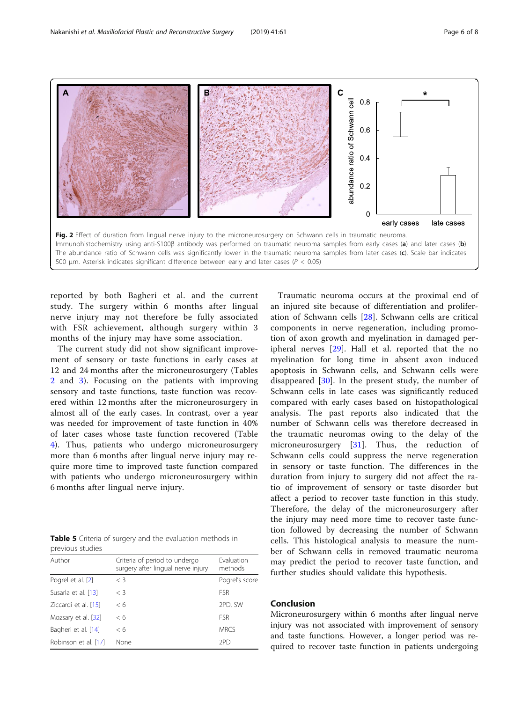<span id="page-5-0"></span>

reported by both Bagheri et al. and the current study. The surgery within 6 months after lingual nerve injury may not therefore be fully associated with FSR achievement, although surgery within 3 months of the injury may have some association.

The current study did not show significant improvement of sensory or taste functions in early cases at 12 and 24 months after the microneurosurgery (Tables [2](#page-4-0) and [3](#page-4-0)). Focusing on the patients with improving sensory and taste functions, taste function was recovered within 12 months after the microneurosurgery in almost all of the early cases. In contrast, over a year was needed for improvement of taste function in 40% of later cases whose taste function recovered (Table [4\)](#page-4-0). Thus, patients who undergo microneurosurgery more than 6 months after lingual nerve injury may require more time to improved taste function compared with patients who undergo microneurosurgery within 6 months after lingual nerve injury.

|                  |  |  | <b>Table 5</b> Criteria of surgery and the evaluation methods in |  |
|------------------|--|--|------------------------------------------------------------------|--|
| previous studies |  |  |                                                                  |  |

| Author               | Criteria of period to undergo<br>surgery after lingual nerve injury | Evaluation<br>methods |
|----------------------|---------------------------------------------------------------------|-----------------------|
| Pogrel et al. [2]    | $\langle 3$                                                         | Pogrel's score        |
| Susarla et al. [13]  | $<$ 3                                                               | <b>FSR</b>            |
| Ziccardi et al. [15] | < 6                                                                 | 2PD, SW               |
| Mozsary et al. [32]  | < 6                                                                 | <b>FSR</b>            |
| Bagheri et al. [14]  | < 6                                                                 | <b>MRCS</b>           |
| Robinson et al. [17] | None                                                                | 2PD                   |

Traumatic neuroma occurs at the proximal end of an injured site because of differentiation and proliferation of Schwann cells [[28\]](#page-7-0). Schwann cells are critical components in nerve regeneration, including promotion of axon growth and myelination in damaged peripheral nerves [\[29](#page-7-0)]. Hall et al. reported that the no myelination for long time in absent axon induced apoptosis in Schwann cells, and Schwann cells were disappeared  $[30]$  $[30]$ . In the present study, the number of Schwann cells in late cases was significantly reduced compared with early cases based on histopathological analysis. The past reports also indicated that the number of Schwann cells was therefore decreased in the traumatic neuromas owing to the delay of the microneurosurgery [[31\]](#page-7-0). Thus, the reduction of Schwann cells could suppress the nerve regeneration in sensory or taste function. The differences in the duration from injury to surgery did not affect the ratio of improvement of sensory or taste disorder but affect a period to recover taste function in this study. Therefore, the delay of the microneurosurgery after the injury may need more time to recover taste function followed by decreasing the number of Schwann cells. This histological analysis to measure the number of Schwann cells in removed traumatic neuroma may predict the period to recover taste function, and further studies should validate this hypothesis.

#### Conclusion

Microneurosurgery within 6 months after lingual nerve injury was not associated with improvement of sensory and taste functions. However, a longer period was required to recover taste function in patients undergoing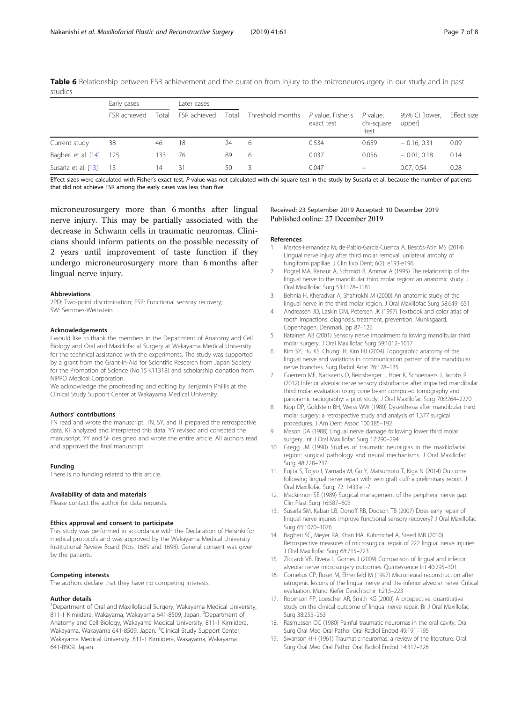|                     | Early cases  |       | Later cases  |       |                  |                                 |                                  |                          |             |
|---------------------|--------------|-------|--------------|-------|------------------|---------------------------------|----------------------------------|--------------------------|-------------|
|                     | FSR achieved | Total | FSR achieved | Total | Threshold months | P value, Fisher's<br>exact test | $P$ value.<br>chi-square<br>test | 95% CI [lower,<br>upper] | Effect size |
| Current study       | 38           | 46    | 18           | 24    | -6               | 0.534                           | 0.659                            | $-0.16, 0.31$            | 0.09        |
| Bagheri et al. [14] | - 125        | 133   | 76           | 89    | 6                | 0.037                           | 0.056                            | $-0.01, 0.18$            | 0.14        |
| Susarla et al. [13] | - 13         | 14    | 31           | 50    | 3                | 0.047                           | $\overline{\phantom{0}}$         | 0.07.0.54                | 0.28        |

<span id="page-6-0"></span>Table 6 Relationship between FSR achievement and the duration from injury to the microneurosurgery in our study and in past studies

Effect sizes were calculated with Fisher's exact test. P value was not calculated with chi-square test in the study by Susarla et al. because the number of patients that did not achieve FSR among the early cases was less than five

microneurosurgery more than 6 months after lingual nerve injury. This may be partially associated with the decrease in Schwann cells in traumatic neuromas. Clinicians should inform patients on the possible necessity of 2 years until improvement of taste function if they undergo microneurosurgery more than 6 months after lingual nerve injury.

#### Abbreviations

2PD: Two-point discrimination; FSR: Functional sensory recovery; SW: Semmes-Weinstein

#### Acknowledgements

I would like to thank the members in the Department of Anatomy and Cell Biology and Oral and Maxillofacial Surgery at Wakayama Medical University for the technical assistance with the experiments. The study was supported by a grant from the Grant-in-Aid for Scientific Research from Japan Society for the Promotion of Science (No.15 K11318) and scholarship donation from NIPRO Medical Corporation.

We acknowledge the proofreading and editing by Benjamin Phillis at the Clinical Study Support Center at Wakayama Medical University.

#### Authors' contributions

TN read and wrote the manuscript. TN, SY, and IT prepared the retrospective data. KT analyzed and interpreted this data. YY revised and corrected the manuscript. YY and SF designed and wrote the entire article. All authors read and approved the final manuscript.

#### Funding

There is no funding related to this article.

#### Availability of data and materials

Please contact the author for data requests.

#### Ethics approval and consent to participate

This study was performed in accordance with the Declaration of Helsinki for medical protocols and was approved by the Wakayama Medical University Institutional Review Board (Nos. 1689 and 1698). General consent was given by the patients.

#### Competing interests

The authors declare that they have no competing interests.

#### Author details

<sup>1</sup>Department of Oral and Maxillofacial Surgery, Wakayama Medical University, 811-1 Kimiidera, Wakayama, Wakayama 641-8509, Japan. <sup>2</sup>Department of Anatomy and Cell Biology, Wakayama Medical University, 811-1 Kimiidera, Wakayama, Wakayama 641-8509, Japan. <sup>3</sup>Clinical Study Support Center, Wakayama Medical University, 811-1 Kimiidera, Wakayama, Wakayama 641-8509, Japan.

# Received: 23 September 2019 Accepted: 10 December 2019

#### References

- 1. Martos-Fernandez M, de-Pablo-Garcia-Cuenca A, Bescós-Atín MS (2014) Lingual nerve injury after third molar removal: unilateral atrophy of fungiform papillae. J Clin Exp Dent; 6(2): e193-e196.
- Pogrel MA, Renaut A, Schmidt B, Ammar A (1995) The relationship of the lingual nerve to the mandibular third molar region: an anatomic study. J Oral Maxillofac Surg 53:1178–1181
- 3. Behnia H, Kheradvar A, Shahrokhi M (2000) An anatomic study of the lingual nerve in the third molar region. J Oral Maxillofac Surg 58:649–651
- 4. Andreasen JO, Laskin DM, Petersen JK (1997) Textbook and color atlas of tooth impactions: diagnosis, treatment, prevention. Munksgaard, Copenhagen, Denmark, pp 87–126
- 5. Bataineh AB (2001) Sensory nerve impairment following mandibular third molar surgery. J Oral Maxillofac Surg 59:1012–1017
- 6. Kim SY, Hu KS, Chung IH, Kim HJ (2004) Topographic anatomy of the lingual nerve and variations in communication pattern of the mandibular nerve branches. Surg Radiol Anat 26:128–135
- 7. Guerrero ME, Nackaerts O, Beinsberger J, Hoer K, Schoenaers J, Jacobs R (2012) Inferior alveolar nerve sensory disturbance after impacted mandibular third molar evaluation using cone beam computed tomography and panoramic radiography: a pilot study. J Oral Maxillofac Surg 70:2264–2270
- Kipp DP, Goldstein BH, Weiss WW (1980) Dysesthesia after mandibular third molar surgery: a retrospective study and analysis of 1,377 surgical procedures. J Am Dent Assoc 100:185–192
- 9. Mason DA (1988) Lingual nerve damage following lower third molar surgery. Int J Oral Maxillofac Surg 17:290–294
- 10. Gregg JM (1990) Studies of traumatic neuralgias in the maxillofacial region: surgical pathology and neural mechanisms. J Oral Maxillofac Surg 48:228–237
- 11. Fujita S, Tojyo I, Yamada M, Go Y, Matsumoto T, Kiga N (2014) Outcome following lingual nerve repair with vein graft cuff: a preliminary report. J Oral Maxillofac Surg; 72: 1433.e1-7.
- 12. Mackinnon SE (1989) Surgical management of the peripheral nerve gap. Clin Plast Surg 16:587–603
- 13. Susarla SM, Kaban LB, Donoff RB, Dodson TB (2007) Does early repair of lingual nerve injuries improve functional sensory recovery? J Oral Maxillofac Surg 65:1070–1076
- 14. Bagheri SC, Meyer RA, Khan HA, Kuhmichel A, Steed MB (2010) Retrospective measures of microsurgical repair of 222 lingual nerve injuries. J Oral Maxillofac Surg 68:715–723
- 15. Ziccardi VB, Rivera L, Gomes J (2009) Comparison of lingual and inferior alveolar nerve microsurgery outcomes. Quintessence Int 40:295–301
- 16. Cornelius CP, Roser M, Ehrenfeld M (1997) Microneural reconstruction after iatrogenic lesions of the lingual nerve and the inferior alveolar nerve. Critical evaluation. Mund Kiefer Gesichtschir 1:213–223
- 17. Robinson PP, Loescher AR, Smith KG (2000) A prospective, quantitative study on the clinical outcome of lingual nerve repair. Br J Oral Maxillofac Surg 38:255–263
- 18. Rasmussen OC (1980) Painful traumatic neuromas in the oral cavity. Oral Surg Oral Med Oral Pathol Oral Radiol Endod 49:191–195
- 19. Swanson HH (1961) Traumatic neuromas: a review of the literature. Oral Surg Oral Med Oral Pathol Oral Radiol Endod 14:317–326